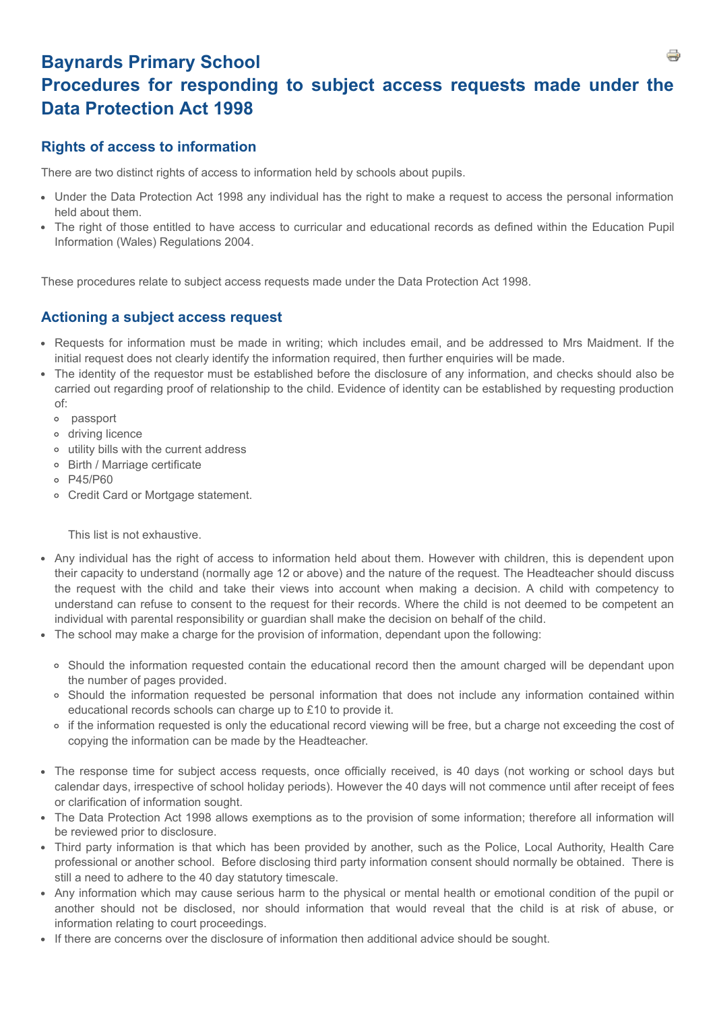# **Baynards Primary School Procedures for responding to subject access requests made under the Data Protection Act 1998**

## **Rights of access to information**

There are two distinct rights of access to information held by schools about pupils.

- Under the Data Protection Act 1998 any individual has the right to make a request to access the personal information held about them.
- The right of those entitled to have access to curricular and educational records as defined within the Education Pupil Information (Wales) Regulations 2004.

These procedures relate to subject access requests made under the Data Protection Act 1998.

### **Actioning a subject access request**

- Requests for information must be made in writing; which includes email, and be addressed to Mrs Maidment. If the initial request does not clearly identify the information required, then further enquiries will be made.
- The identity of the requestor must be established before the disclosure of any information, and checks should also be carried out regarding proof of relationship to the child. Evidence of identity can be established by requesting production of:
	- passport
	- driving licence
	- utility bills with the current address
	- Birth / Marriage certificate
	- P45/P60
	- Credit Card or Mortgage statement.

This list is not exhaustive.

- Any individual has the right of access to information held about them. However with children, this is dependent upon their capacity to understand (normally age 12 or above) and the nature of the request. The Headteacher should discuss the request with the child and take their views into account when making a decision. A child with competency to understand can refuse to consent to the request for their records. Where the child is not deemed to be competent an individual with parental responsibility or guardian shall make the decision on behalf of the child.
- The school may make a charge for the provision of information, dependant upon the following:
	- Should the information requested contain the educational record then the amount charged will be dependant upon the number of pages provided.
	- Should the information requested be personal information that does not include any information contained within educational records schools can charge up to £10 to provide it.
	- if the information requested is only the educational record viewing will be free, but a charge not exceeding the cost of copying the information can be made by the Headteacher.
- The response time for subject access requests, once officially received, is 40 days (not working or school days but calendar days, irrespective of school holiday periods). However the 40 days will not commence until after receipt of fees or clarification of information sought.
- The Data Protection Act 1998 allows exemptions as to the provision of some information; therefore all information will be reviewed prior to disclosure.
- Third party information is that which has been provided by another, such as the Police, Local Authority, Health Care professional or another school. Before disclosing third party information consent should normally be obtained. There is still a need to adhere to the 40 day statutory timescale.
- Any information which may cause serious harm to the physical or mental health or emotional condition of the pupil or another should not be disclosed, nor should information that would reveal that the child is at risk of abuse, or information relating to court proceedings.
- If there are concerns over the disclosure of information then additional advice should be sought.